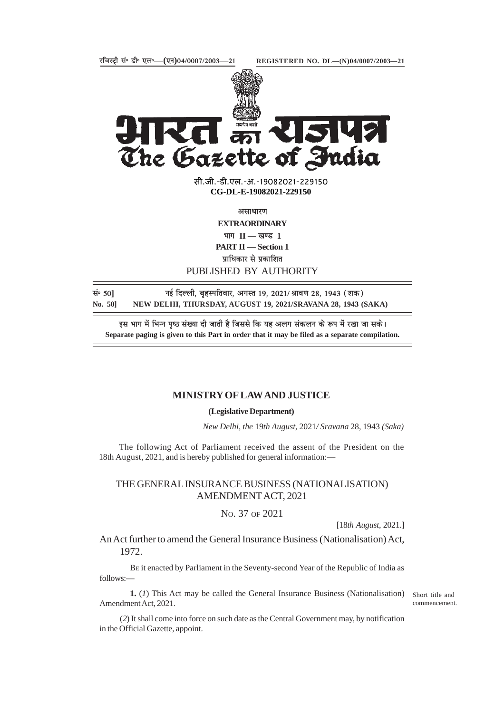

स्त्रमेव ज्यते<br>**त्योग XIST** The Gazette of India

> सी.जी.-डी.एल.-अ.-19082021-22915<mark>0</mark> **xxxGIDExxx CG-DL-E-19082021-229150**

> > असाधारण

**EXTRAORDINARY**

 $\overline{H}$  **II** — खण्ड 1

**PART II — Section 1**

**प्राधिकार से प्रकाशित** 

## PUBLISHED BY AUTHORITY

**land 50** langle of the Fage of the Fage of the Fage of the Section 19, 2021/ आवण 28, 1943 (शक) **No. 50] NEW DELHI, THURSDAY, AUGUST 19, 2021/SRAVANA 28, 1943 (SAKA)**

इस भाग में भिन्न पृष्ठ संख्या दी जाती है जिससे कि यह अलग संकलन के रूप में रखा जा सके। **Separate paging is given to this Part in order that it may be filed as a separate compilation.**

## **MINISTRY OF LAW AND JUSTICE**

**(Legislative Department)**

*New Delhi, the* 19*th August,* 2021*/ Sravana* 28, 1943 *(Saka)*

The following Act of Parliament received the assent of the President on the 18th August, 2021, and is hereby published for general information:—

## THE GENERAL INSURANCE BUSINESS (NATIONALISATION) AMENDMENT ACT, 2021

NO. 37 OF 2021

[18*th August*, 2021.]

An Act further to amend the General Insurance Business (Nationalisation) Act, 1972.

BE it enacted by Parliament in the Seventy-second Year of the Republic of India as follows:—

**1.** (*1*) This Act may be called the General Insurance Business (Nationalisation) Amendment Act, 2021.

Short title and commencement.

(*2*) It shall come into force on such date as the Central Government may, by notification in the Official Gazette, appoint.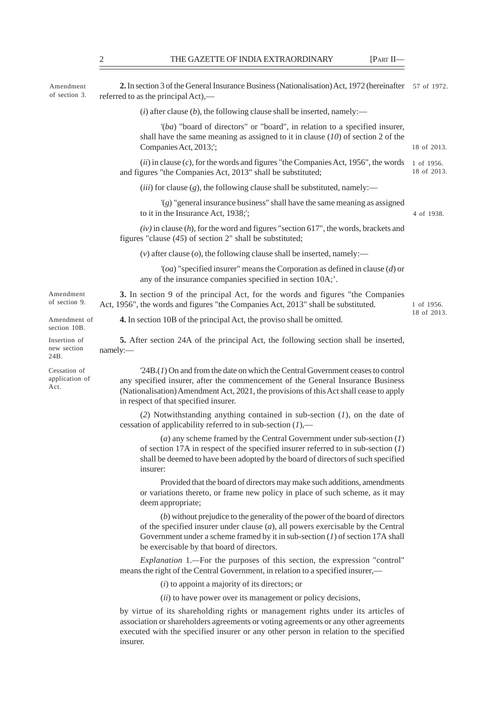| Amendment<br>of section 3.             | 2. In section 3 of the General Insurance Business (Nationalisation) Act, 1972 (hereinafter 57 of 1972.<br>referred to as the principal Act),—                                                                                                                                                           |                           |
|----------------------------------------|---------------------------------------------------------------------------------------------------------------------------------------------------------------------------------------------------------------------------------------------------------------------------------------------------------|---------------------------|
|                                        | (i) after clause (b), the following clause shall be inserted, namely:—                                                                                                                                                                                                                                  |                           |
|                                        | $'(ba)$ "board of directors" or "board", in relation to a specified insurer,<br>shall have the same meaning as assigned to it in clause $(10)$ of section 2 of the<br>Companies Act, 2013;';                                                                                                            | 18 of 2013.               |
|                                        | $(ii)$ in clause $(c)$ , for the words and figures "the Companies Act, 1956", the words<br>and figures "the Companies Act, 2013" shall be substituted;                                                                                                                                                  | 1 of 1956.<br>18 of 2013. |
|                                        | $(iii)$ for clause $(g)$ , the following clause shall be substituted, namely:-                                                                                                                                                                                                                          |                           |
|                                        | $'(g)$ "general insurance business" shall have the same meaning as assigned<br>to it in the Insurance Act, 1938;';                                                                                                                                                                                      | 4 of 1938.                |
|                                        | $(iv)$ in clause $(h)$ , for the word and figures "section 617", the words, brackets and<br>figures "clause $(45)$ of section 2" shall be substituted;                                                                                                                                                  |                           |
|                                        | (v) after clause (o), the following clause shall be inserted, namely:—                                                                                                                                                                                                                                  |                           |
|                                        | $'(\text{oa})$ "specified insurer" means the Corporation as defined in clause (d) or<br>any of the insurance companies specified in section 10A;'.                                                                                                                                                      |                           |
| Amendment<br>of section 9.             | 3. In section 9 of the principal Act, for the words and figures "the Companies"<br>Act, 1956", the words and figures "the Companies Act, 2013" shall be substituted.                                                                                                                                    | 1 of 1956.<br>18 of 2013. |
| Amendment of<br>section 10B.           | <b>4.</b> In section 10B of the principal Act, the proviso shall be omitted.                                                                                                                                                                                                                            |                           |
| Insertion of<br>new section<br>24B.    | <b>5.</b> After section 24A of the principal Act, the following section shall be inserted,<br>namely:-                                                                                                                                                                                                  |                           |
| Cessation of<br>application of<br>Act. | $24B(1)$ On and from the date on which the Central Government ceases to control<br>any specified insurer, after the commencement of the General Insurance Business<br>(Nationalisation) Amendment Act, 2021, the provisions of this Act shall cease to apply<br>in respect of that specified insurer.   |                           |
|                                        | (2) Notwithstanding anything contained in sub-section $(I)$ , on the date of<br>cessation of applicability referred to in sub-section $(1)$ ,—                                                                                                                                                          |                           |
|                                        | (a) any scheme framed by the Central Government under sub-section $(1)$<br>of section 17A in respect of the specified insurer referred to in sub-section $(I)$<br>shall be deemed to have been adopted by the board of directors of such specified<br>insurer:                                          |                           |
|                                        | Provided that the board of directors may make such additions, amendments<br>or variations thereto, or frame new policy in place of such scheme, as it may<br>deem appropriate;                                                                                                                          |                           |
|                                        | (b) without prejudice to the generality of the power of the board of directors<br>of the specified insurer under clause $(a)$ , all powers exercisable by the Central<br>Government under a scheme framed by it in sub-section $(I)$ of section 17A shall<br>be exercisable by that board of directors. |                           |
|                                        | <i>Explanation</i> 1.—For the purposes of this section, the expression "control"<br>means the right of the Central Government, in relation to a specified insurer,—                                                                                                                                     |                           |
|                                        | $(i)$ to appoint a majority of its directors; or                                                                                                                                                                                                                                                        |                           |

(*ii*) to have power over its management or policy decisions,

by virtue of its shareholding rights or management rights under its articles of association or shareholders agreements or voting agreements or any other agreements executed with the specified insurer or any other person in relation to the specified insurer.